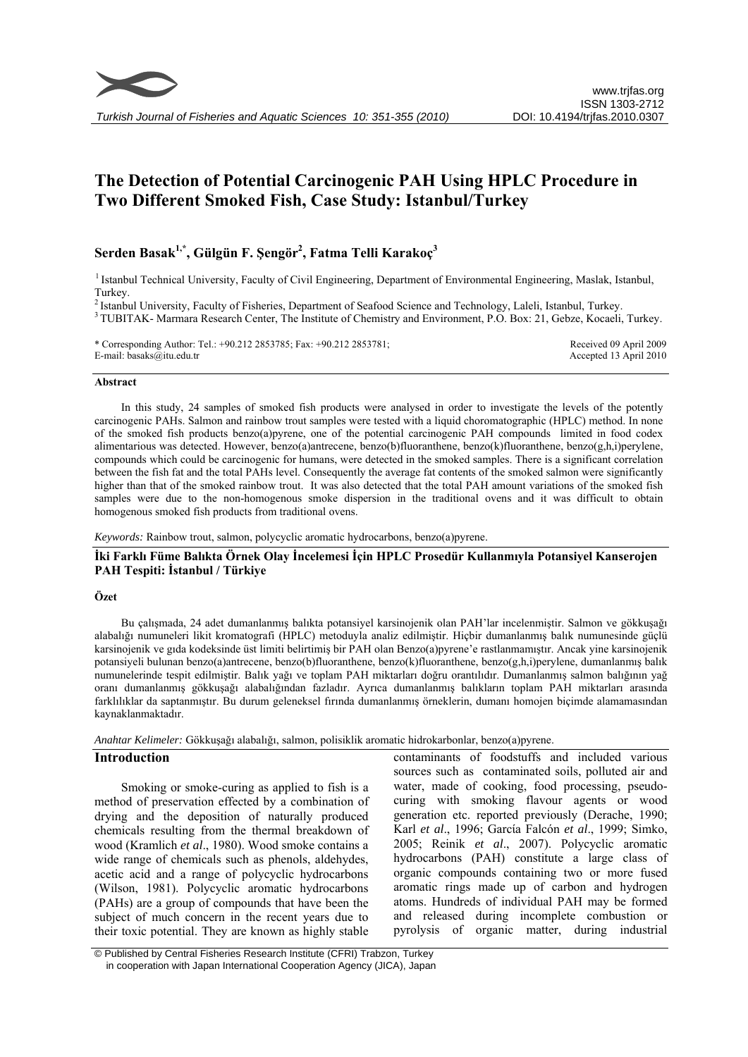

# **The Detection of Potential Carcinogenic PAH Using HPLC Procedure in Two Different Smoked Fish, Case Study: Istanbul/Turkey**

**Serden Basak1,\*, Gülgün F. Şengör2 , Fatma Telli Karakoç3**

<sup>1</sup> Istanbul Technical University, Faculty of Civil Engineering, Department of Environmental Engineering, Maslak, Istanbul, Turkey.

<sup>2</sup> Istanbul University, Faculty of Fisheries, Department of Seafood Science and Technology, Laleli, Istanbul, Turkey.<br><sup>3</sup> TUBITAK- Marmara Research Center, The Institute of Chemistry and Environment, P.O. Box: 21, Gebze,

\* Corresponding Author: Tel.: +90.212 2853785; Fax: +90.212 2853781; E-mail: basaks@itu.edu.tr

Received 09 April 2009 Accepted 13 April 2010

#### **Abstract**

In this study, 24 samples of smoked fish products were analysed in order to investigate the levels of the potently carcinogenic PAHs. Salmon and rainbow trout samples were tested with a liquid choromatographic (HPLC) method. In none of the smoked fish products benzo(a)pyrene, one of the potential carcinogenic PAH compounds limited in food codex alimentarious was detected. However, benzo(a)antrecene, benzo(b)fluoranthene, benzo(k)fluoranthene, benzo(g,h,i)perylene, compounds which could be carcinogenic for humans, were detected in the smoked samples. There is a significant correlation between the fish fat and the total PAHs level. Consequently the average fat contents of the smoked salmon were significantly higher than that of the smoked rainbow trout. It was also detected that the total PAH amount variations of the smoked fish samples were due to the non-homogenous smoke dispersion in the traditional ovens and it was difficult to obtain homogenous smoked fish products from traditional ovens.

*Keywords:* Rainbow trout, salmon, polycyclic aromatic hydrocarbons, benzo(a)pyrene.

## **İki Farklı Füme Balıkta Örnek Olay İncelemesi İçin HPLC Prosedür Kullanmıyla Potansiyel Kanserojen PAH Tespiti: İstanbul / Türkiye**

## **Özet**

Bu çalışmada, 24 adet dumanlanmış balıkta potansiyel karsinojenik olan PAH'lar incelenmiştir. Salmon ve gökkuşağı alabalığı numuneleri likit kromatografi (HPLC) metoduyla analiz edilmiştir. Hiçbir dumanlanmış balık numunesinde güçlü karsinojenik ve gıda kodeksinde üst limiti belirtimiş bir PAH olan Benzo(a)pyrene'e rastlanmamıştır. Ancak yine karsinojenik potansiyeli bulunan benzo(a)antrecene, benzo(b)fluoranthene, benzo(k)fluoranthene, benzo(g,h,i)perylene, dumanlanmış balık numunelerinde tespit edilmiştir. Balık yağı ve toplam PAH miktarları doğru orantılıdır. Dumanlanmış salmon balığının yağ oranı dumanlanmış gökkuşağı alabalığından fazladır. Ayrıca dumanlanmış balıkların toplam PAH miktarları arasında farklılıklar da saptanmıştır. Bu durum geleneksel fırında dumanlanmış örneklerin, dumanı homojen biçimde alamamasından kaynaklanmaktadır.

*Anahtar Kelimeler:* Gökkuşağı alabalığı, salmon, polisiklik aromatic hidrokarbonlar, benzo(a)pyrene.

## **Introduction**

Smoking or smoke-curing as applied to fish is a method of preservation effected by a combination of drying and the deposition of naturally produced chemicals resulting from the thermal breakdown of wood (Kramlich *et al*., 1980). Wood smoke contains a wide range of chemicals such as phenols, aldehydes, acetic acid and a range of polycyclic hydrocarbons (Wilson, 1981). Polycyclic aromatic hydrocarbons (PAHs) are a group of compounds that have been the subject of much concern in the recent years due to their toxic potential. They are known as highly stable

contaminants of foodstuffs and included various sources such as contaminated soils, polluted air and water, made of cooking, food processing, pseudocuring with smoking flavour agents or wood generation etc. reported previously (Derache, 1990; Karl *et al*., 1996; Garcίa Falcón *et al*., 1999; Simko, 2005; Reinik *et al*., 2007). Polycyclic aromatic hydrocarbons (PAH) constitute a large class of organic compounds containing two or more fused aromatic rings made up of carbon and hydrogen atoms. Hundreds of individual PAH may be formed and released during incomplete combustion or pyrolysis of organic matter, during industrial

 <sup>©</sup> Published by Central Fisheries Research Institute (CFRI) Trabzon, Turkey in cooperation with Japan International Cooperation Agency (JICA), Japan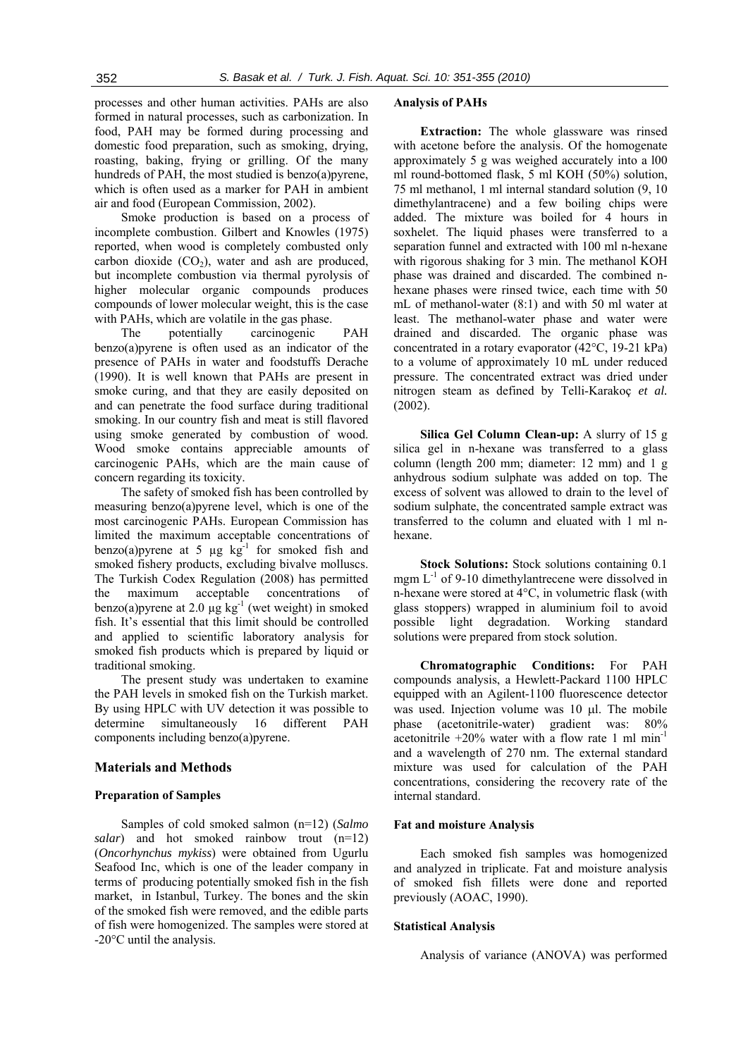processes and other human activities. PAHs are also formed in natural processes, such as carbonization. In food, PAH may be formed during processing and domestic food preparation, such as smoking, drying, roasting, baking, frying or grilling. Of the many hundreds of PAH, the most studied is benzo(a)pyrene, which is often used as a marker for PAH in ambient air and food (European Commission, 2002).

Smoke production is based on a process of incomplete combustion. Gilbert and Knowles (1975) reported, when wood is completely combusted only carbon dioxide  $(CO_2)$ , water and ash are produced, but incomplete combustion via thermal pyrolysis of higher molecular organic compounds produces compounds of lower molecular weight, this is the case with PAHs, which are volatile in the gas phase.

The potentially carcinogenic PAH benzo(a)pyrene is often used as an indicator of the presence of PAHs in water and foodstuffs Derache (1990). It is well known that PAHs are present in smoke curing, and that they are easily deposited on and can penetrate the food surface during traditional smoking. In our country fish and meat is still flavored using smoke generated by combustion of wood. Wood smoke contains appreciable amounts of carcinogenic PAHs, which are the main cause of concern regarding its toxicity.

The safety of smoked fish has been controlled by measuring benzo(a)pyrene level, which is one of the most carcinogenic PAHs. European Commission has limited the maximum acceptable concentrations of benzo(a)pyrene at 5  $\mu$ g kg<sup>-1</sup> for smoked fish and smoked fishery products, excluding bivalve molluscs. The Turkish Codex Regulation (2008) has permitted the maximum acceptable concentrations of benzo(a) pyrene at 2.0  $\mu$ g kg<sup>-1</sup> (wet weight) in smoked fish. It's essential that this limit should be controlled and applied to scientific laboratory analysis for smoked fish products which is prepared by liquid or traditional smoking.

The present study was undertaken to examine the PAH levels in smoked fish on the Turkish market. By using HPLC with UV detection it was possible to determine simultaneously 16 different PAH components including benzo(a)pyrene.

## **Materials and Methods**

#### **Preparation of Samples**

Samples of cold smoked salmon (n=12) (*Salmo salar*) and hot smoked rainbow trout (n=12) (*Oncorhynchus mykiss*) were obtained from Ugurlu Seafood Inc, which is one of the leader company in terms of producing potentially smoked fish in the fish market, in Istanbul, Turkey. The bones and the skin of the smoked fish were removed, and the edible parts of fish were homogenized. The samples were stored at -20°C until the analysis.

#### **Analysis of PAHs**

**Extraction:** The whole glassware was rinsed with acetone before the analysis. Of the homogenate approximately 5 g was weighed accurately into a l00 ml round-bottomed flask, 5 ml KOH (50%) solution, 75 ml methanol, 1 ml internal standard solution (9, 10 dimethylantracene) and a few boiling chips were added. The mixture was boiled for 4 hours in soxhelet. The liquid phases were transferred to a separation funnel and extracted with 100 ml n-hexane with rigorous shaking for 3 min. The methanol KOH phase was drained and discarded. The combined nhexane phases were rinsed twice, each time with 50 mL of methanol-water (8:1) and with 50 ml water at least. The methanol-water phase and water were drained and discarded. The organic phase was concentrated in a rotary evaporator (42°C, 19-21 kPa) to a volume of approximately 10 mL under reduced pressure. The concentrated extract was dried under nitrogen steam as defined by Telli-Karakoç *et al.* (2002).

**Silica Gel Column Clean-up:** A slurry of 15 g silica gel in n-hexane was transferred to a glass column (length 200 mm; diameter: 12 mm) and 1 g anhydrous sodium sulphate was added on top. The excess of solvent was allowed to drain to the level of sodium sulphate, the concentrated sample extract was transferred to the column and eluated with 1 ml nhexane.

**Stock Solutions:** Stock solutions containing 0.1 mgm  $L^{-1}$  of 9-10 dimethylantrecene were dissolved in n-hexane were stored at 4°C, in volumetric flask (with glass stoppers) wrapped in aluminium foil to avoid possible light degradation. Working standard solutions were prepared from stock solution.

**Chromatographic Conditions:** For PAH compounds analysis, a Hewlett-Packard 1100 HPLC equipped with an Agilent-1100 fluorescence detector was used. Injection volume was 10 μl. The mobile phase (acetonitrile-water) gradient was: 80% acetonitrile  $+20\%$  water with a flow rate 1 ml min<sup>-1</sup> and a wavelength of 270 nm. The external standard mixture was used for calculation of the PAH concentrations, considering the recovery rate of the internal standard.

## **Fat and moisture Analysis**

Each smoked fish samples was homogenized and analyzed in triplicate. Fat and moisture analysis of smoked fish fillets were done and reported previously (AOAC, 1990).

### **Statistical Analysis**

Analysis of variance (ANOVA) was performed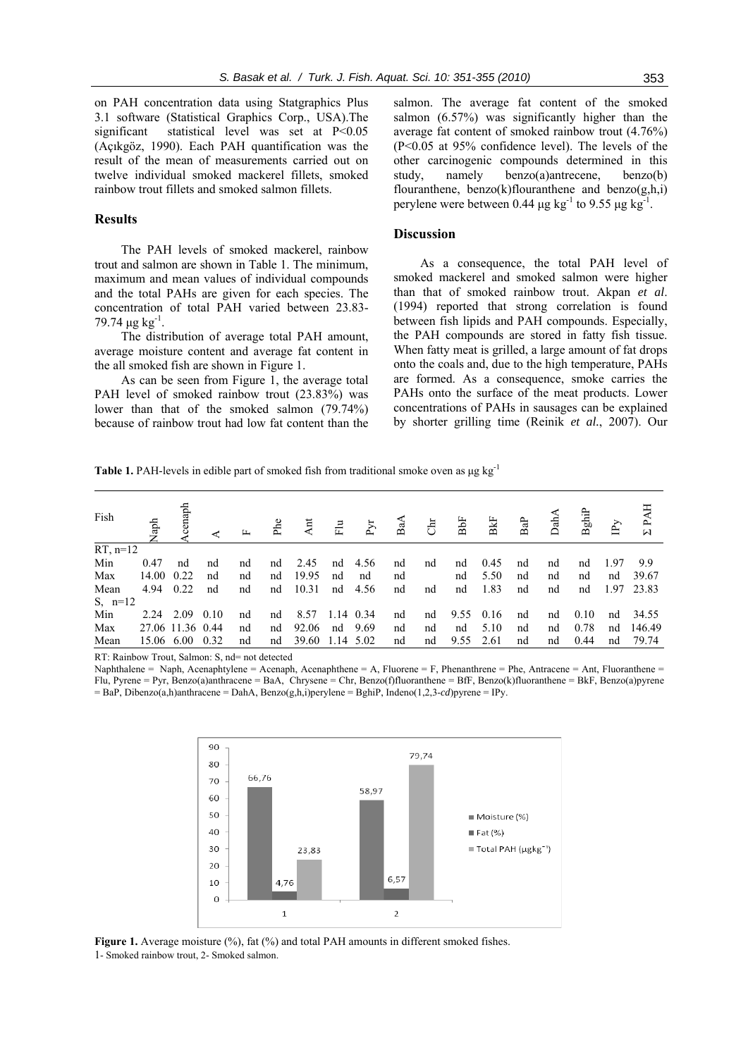on PAH concentration data using Statgraphics Plus 3.1 software (Statistical Graphics Corp., USA).The significant statistical level was set at P<0.05 (Açıkgöz, 1990). Each PAH quantification was the result of the mean of measurements carried out on twelve individual smoked mackerel fillets, smoked rainbow trout fillets and smoked salmon fillets.

## **Results**

The PAH levels of smoked mackerel, rainbow trout and salmon are shown in Table 1. The minimum, maximum and mean values of individual compounds and the total PAHs are given for each species. The concentration of total PAH varied between 23.83- 79.74  $\mu$ g kg<sup>-1</sup>.

The distribution of average total PAH amount, average moisture content and average fat content in the all smoked fish are shown in Figure 1.

As can be seen from Figure 1, the average total PAH level of smoked rainbow trout (23.83%) was lower than that of the smoked salmon (79.74%) because of rainbow trout had low fat content than the salmon. The average fat content of the smoked salmon (6.57%) was significantly higher than the average fat content of smoked rainbow trout (4.76%) (P<0.05 at 95% confidence level). The levels of the other carcinogenic compounds determined in this study, namely benzo(a)antrecene, benzo(b) flouranthene, benzo(k)flouranthene and benzo(g,h,i) perylene were between 0.44  $\mu$ g kg<sup>-1</sup> to 9.55  $\mu$ g kg<sup>-1</sup>.

## **Discussion**

As a consequence, the total PAH level of smoked mackerel and smoked salmon were higher than that of smoked rainbow trout. Akpan *et al*. (1994) reported that strong correlation is found between fish lipids and PAH compounds. Especially, the PAH compounds are stored in fatty fish tissue. When fatty meat is grilled, a large amount of fat drops onto the coals and, due to the high temperature, PAHs are formed. As a consequence, smoke carries the PAHs onto the surface of the meat products. Lower concentrations of PAHs in sausages can be explained by shorter grilling time (Reinik *et al.*, 2007). Our

**Table 1.** PAH-levels in edible part of smoked fish from traditional smoke oven as μg kg-1

| Fish       | Naph  | cenaph           |      | $\mathbf{L}$ | Ě  | Ħ     | Flu  | $\rm{Pyr}$ | BaA | <b>Chr</b> | BbF  | BkF  | $\ensuremath{{\rm BaP}}$ | DahA | <b>BghiP</b> | $\mathbf{P}\mathbf{y}$ | PAH<br>$\mathbf{z}$ |
|------------|-------|------------------|------|--------------|----|-------|------|------------|-----|------------|------|------|--------------------------|------|--------------|------------------------|---------------------|
| $RT, n=12$ |       |                  |      |              |    |       |      |            |     |            |      |      |                          |      |              |                        |                     |
| Min        | 0.47  | nd               | nd   | nd           | nd | 2.45  | nd   | 4.56       | nd  | nd         | nd   | 0.45 | nd                       | nd   | nd           | 1.97                   | 9.9                 |
| Max        | 14.00 | 0.22             | nd   | nd           | nd | 19.95 | nd   | nd         | nd  |            | nd   | 5.50 | nd                       | nd   | nd           | nd                     | 39.67               |
| Mean       | 4.94  | 0.22             | nd   | nd           | nd | 10.31 | nd   | 4.56       | nd  | nd         | nd   | 1.83 | nd                       | nd   | nd           | 1.97                   | 23.83               |
| $S, n=12$  |       |                  |      |              |    |       |      |            |     |            |      |      |                          |      |              |                        |                     |
| Min        | 2.24  | 2.09             | 0.10 | nd           | nd | 8.57  |      | 1.14 0.34  | nd  | nd         | 9.55 | 0.16 | nd                       | nd   | 0.10         | nd                     | 34.55               |
| Max        |       | 27.06 11.36 0.44 |      | nd           | nd | 92.06 | nd   | 9.69       | nd  | nd         | nd   | 5.10 | nd                       | nd   | 0.78         | nd                     | 146.49              |
| Mean       |       | 15.06 6.00       | 0.32 | nd           | nd | 39.60 | 1.14 | 5.02       | nd  | nd         | 9.55 | 2.61 | nd                       | nd   | 0.44         | nd                     | 79.74               |
|            |       |                  |      |              |    |       |      |            |     |            |      |      |                          |      |              |                        |                     |

RT: Rainbow Trout, Salmon: S, nd= not detected

Naphthalene = Naph, Acenaphtylene = Acenaph, Acenaphthene = A, Fluorene = F, Phenanthrene = Phe, Antracene = Ant, Fluoranthene = Flu, Pyrene = Pyr, Benzo(a)anthracene = BaA, Chrysene = Chr, Benzo(f)fluoranthene = BfF, Benzo(k)fluoranthene = BkF, Benzo(a)pyrene = BaP, Dibenzo(a,h)anthracene = DahA, Benzo(g,h,i)perylene = BghiP, Indeno(1,2,3-*cd*)pyrene = IPy.



Figure 1. Average moisture (%), fat (%) and total PAH amounts in different smoked fishes. 1- Smoked rainbow trout, 2- Smoked salmon.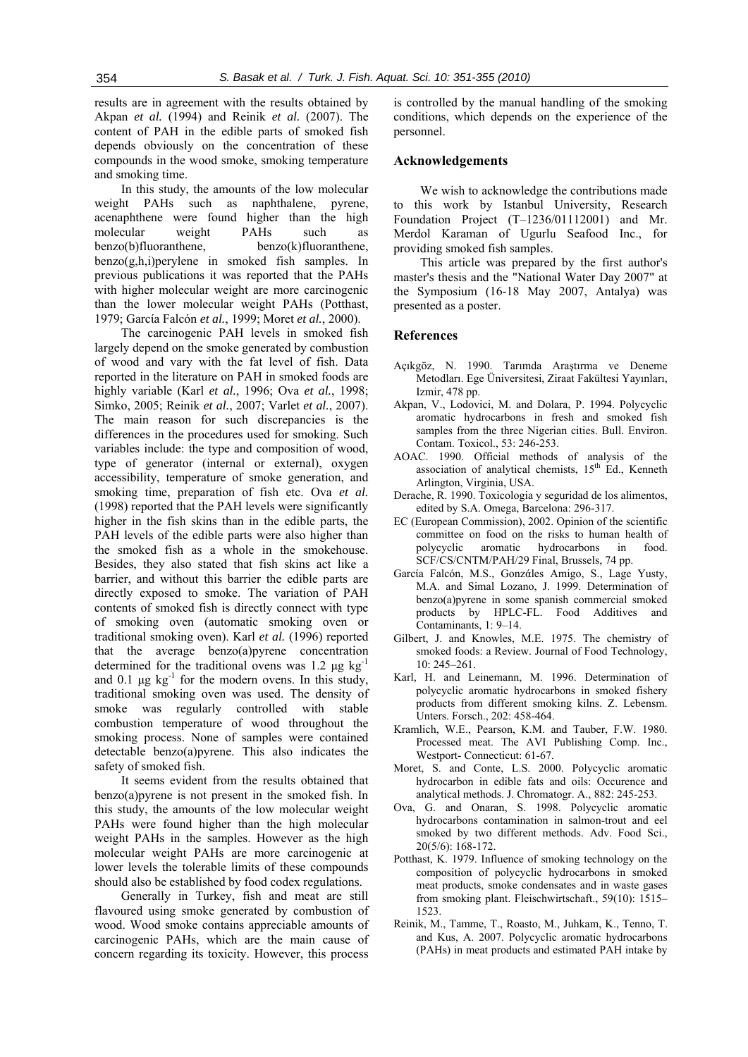results are in agreement with the results obtained by Akpan *et al.* (1994) and Reinik *et al.* (2007). The content of PAH in the edible parts of smoked fish depends obviously on the concentration of these compounds in the wood smoke, smoking temperature and smoking time.

In this study, the amounts of the low molecular weight PAHs such as naphthalene, pyrene, acenaphthene were found higher than the high molecular weight PAHs such as benzo(b)fluoranthene, benzo(k)fluoranthene, benzo(g,h,i)perylene in smoked fish samples. In previous publications it was reported that the PAHs with higher molecular weight are more carcinogenic than the lower molecular weight PAHs (Potthast, 1979; Garcίa Falcón *et al.*, 1999; Moret *et al.*, 2000).

The carcinogenic PAH levels in smoked fish largely depend on the smoke generated by combustion of wood and vary with the fat level of fish. Data reported in the literature on PAH in smoked foods are highly variable (Karl *et al.*, 1996; Ova *et al.*, 1998; Simko, 2005; Reinik *et al.*, 2007; Varlet *et al.*, 2007). The main reason for such discrepancies is the differences in the procedures used for smoking. Such variables include: the type and composition of wood, type of generator (internal or external), oxygen accessibility, temperature of smoke generation, and smoking time, preparation of fish etc. Ova *et al.* (1998) reported that the PAH levels were significantly higher in the fish skins than in the edible parts, the PAH levels of the edible parts were also higher than the smoked fish as a whole in the smokehouse. Besides, they also stated that fish skins act like a barrier, and without this barrier the edible parts are directly exposed to smoke. The variation of PAH contents of smoked fish is directly connect with type of smoking oven (automatic smoking oven or traditional smoking oven). Karl *et al.* (1996) reported that the average benzo(a)pyrene concentration determined for the traditional ovens was 1.2  $\mu$ g kg<sup>-1</sup> and 0.1  $\mu$ g kg<sup>-1</sup> for the modern ovens. In this study, traditional smoking oven was used. The density of smoke was regularly controlled with stable combustion temperature of wood throughout the smoking process. None of samples were contained detectable benzo(a)pyrene. This also indicates the safety of smoked fish.

It seems evident from the results obtained that benzo(a)pyrene is not present in the smoked fish. In this study, the amounts of the low molecular weight PAHs were found higher than the high molecular weight PAHs in the samples. However as the high molecular weight PAHs are more carcinogenic at lower levels the tolerable limits of these compounds should also be established by food codex regulations.

Generally in Turkey, fish and meat are still flavoured using smoke generated by combustion of wood. Wood smoke contains appreciable amounts of carcinogenic PAHs, which are the main cause of concern regarding its toxicity. However, this process

is controlled by the manual handling of the smoking conditions, which depends on the experience of the personnel.

#### **Acknowledgements**

We wish to acknowledge the contributions made to this work by Istanbul University, Research Foundation Project (T–1236/01112001) and Mr. Merdol Karaman of Ugurlu Seafood Inc., for providing smoked fish samples.

This article was prepared by the first author's master's thesis and the "National Water Day 2007" at the Symposium (16-18 May 2007, Antalya) was presented as a poster.

## **References**

- Açıkgöz, N. 1990. Tarımda Araştırma ve Deneme Metodları. Ege Üniversitesi, Ziraat Fakültesi Yayınları, Izmir, 478 pp.
- Akpan, V., Lodovici, M. and Dolara, P. 1994. Polycyclic aromatic hydrocarbons in fresh and smoked fish samples from the three Nigerian cities. Bull. Environ. Contam. Toxicol., 53: 246-253.
- AOAC. 1990. Official methods of analysis of the association of analytical chemists,  $15<sup>th</sup>$  Ed., Kenneth Arlington, Virginia, USA.
- Derache, R. 1990. Toxicologia y seguridad de los alimentos, edited by S.A. Omega, Barcelona: 296-317.
- EC (European Commission), 2002. Opinion of the scientific committee on food on the risks to human health of polycyclic aromatic hydrocarbons in food. SCF/CS/CNTM/PAH/29 Final, Brussels, 74 pp.
- Garcίa Falcón, M.S., Gonzάles Amigo, S., Lage Yusty, M.A. and Simal Lozano, J. 1999. Determination of benzo(a)pyrene in some spanish commercial smoked products by HPLC-FL. Food Additives and Contaminants, 1: 9–14.
- Gilbert, J. and Knowles, M.E. 1975. The chemistry of smoked foods: a Review. Journal of Food Technology, 10: 245–261.
- Karl, H. and Leinemann, M. 1996. Determination of polycyclic aromatic hydrocarbons in smoked fishery products from different smoking kilns. Z. Lebensm. Unters. Forsch., 202: 458-464.
- Kramlich, W.E., Pearson, K.M. and Tauber, F.W. 1980. Processed meat. The AVI Publishing Comp. Inc., Westport- Connecticut: 61-67.
- Moret, S. and Conte, L.S. 2000. Polycyclic aromatic hydrocarbon in edible fats and oils: Occurence and analytical methods. J. Chromatogr. A., 882: 245-253.
- Ova, G. and Onaran, S. 1998. Polycyclic aromatic hydrocarbons contamination in salmon-trout and eel smoked by two different methods. Adv. Food Sci., 20(5/6): 168-172.
- Potthast, K. 1979. Influence of smoking technology on the composition of polycyclic hydrocarbons in smoked meat products, smoke condensates and in waste gases from smoking plant. Fleischwirtschaft., 59(10): 1515– 1523.
- Reinik, M., Tamme, T., Roasto, M., Juhkam, K., Tenno, T. and Kus, A. 2007. Polycyclic aromatic hydrocarbons (PAHs) in meat products and estimated PAH intake by